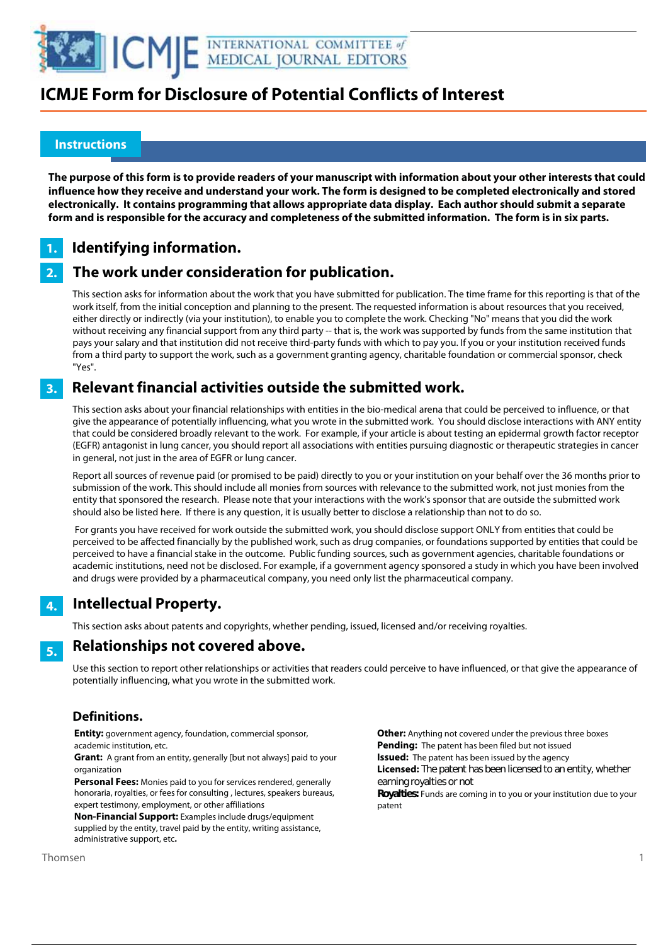

## **Instructions**

**The purpose of this form is to provide readers of your manuscript with information about your other interests that could influence how they receive and understand your work. The form is designed to be completed electronically and stored electronically. It contains programming that allows appropriate data display. Each author should submit a separate form and is responsible for the accuracy and completeness of the submitted information. The form is in six parts.** 

### **Identifying information. 1.**

### **The work under consideration for publication. 2.**

This section asks for information about the work that you have submitted for publication. The time frame for this reporting is that of the work itself, from the initial conception and planning to the present. The requested information is about resources that you received, either directly or indirectly (via your institution), to enable you to complete the work. Checking "No" means that you did the work without receiving any financial support from any third party -- that is, the work was supported by funds from the same institution that pays your salary and that institution did not receive third-party funds with which to pay you. If you or your institution received funds from a third party to support the work, such as a government granting agency, charitable foundation or commercial sponsor, check "Yes".

#### **Relevant financial activities outside the submitted work. 3.**

This section asks about your financial relationships with entities in the bio-medical arena that could be perceived to influence, or that give the appearance of potentially influencing, what you wrote in the submitted work. You should disclose interactions with ANY entity that could be considered broadly relevant to the work. For example, if your article is about testing an epidermal growth factor receptor (EGFR) antagonist in lung cancer, you should report all associations with entities pursuing diagnostic or therapeutic strategies in cancer in general, not just in the area of EGFR or lung cancer.

Report all sources of revenue paid (or promised to be paid) directly to you or your institution on your behalf over the 36 months prior to submission of the work. This should include all monies from sources with relevance to the submitted work, not just monies from the entity that sponsored the research. Please note that your interactions with the work's sponsor that are outside the submitted work should also be listed here. If there is any question, it is usually better to disclose a relationship than not to do so.

 For grants you have received for work outside the submitted work, you should disclose support ONLY from entities that could be perceived to be affected financially by the published work, such as drug companies, or foundations supported by entities that could be perceived to have a financial stake in the outcome. Public funding sources, such as government agencies, charitable foundations or academic institutions, need not be disclosed. For example, if a government agency sponsored a study in which you have been involved and drugs were provided by a pharmaceutical company, you need only list the pharmaceutical company.

### **Intellectual Property. 4.**

This section asks about patents and copyrights, whether pending, issued, licensed and/or receiving royalties.

### **Relationships not covered above. 5.**

Use this section to report other relationships or activities that readers could perceive to have influenced, or that give the appearance of potentially influencing, what you wrote in the submitted work.

## **Definitions.**

**Entity:** government agency, foundation, commercial sponsor, academic institution, etc.

**Grant:** A grant from an entity, generally [but not always] paid to your organization

**Personal Fees:** Monies paid to you for services rendered, generally honoraria, royalties, or fees for consulting , lectures, speakers bureaus, expert testimony, employment, or other affiliations

**Non-Financial Support:** Examples include drugs/equipment supplied by the entity, travel paid by the entity, writing assistance, administrative support, etc**.**

**Other:** Anything not covered under the previous three boxes **Pending:** The patent has been filed but not issued **Issued:** The patent has been issued by the agency **Licensed:** The patent has been licensed to an entity, whether earning royalties or not **Royalties:** Funds are coming in to you or your institution due to your patent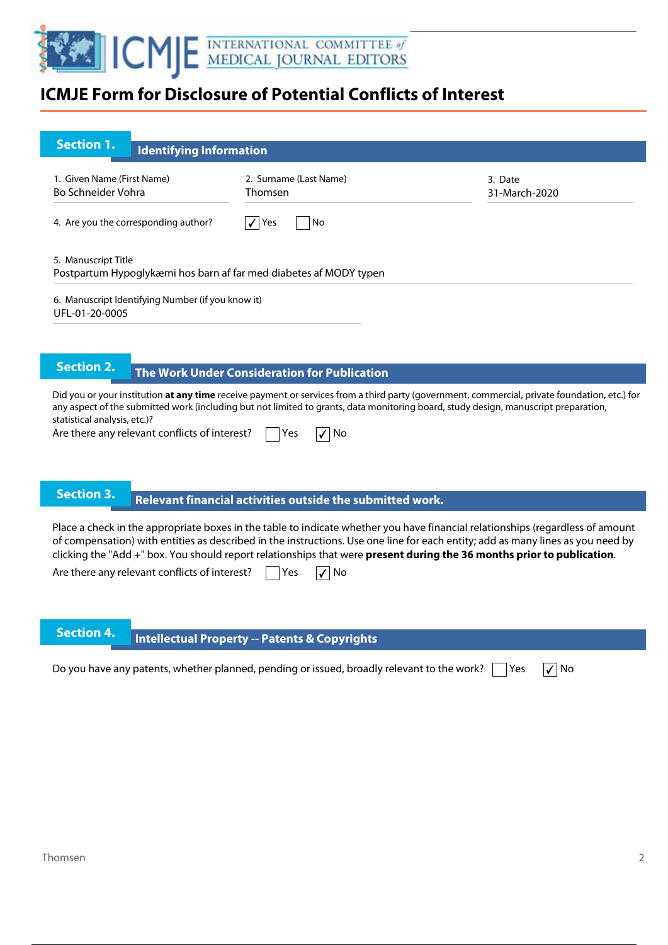

| <b>Section 1.</b><br><b>Identifying Information</b>                                                                                                                                                                                                                                                                                                                                                                                                                       |                                                           |                          |  |  |  |  |  |  |
|---------------------------------------------------------------------------------------------------------------------------------------------------------------------------------------------------------------------------------------------------------------------------------------------------------------------------------------------------------------------------------------------------------------------------------------------------------------------------|-----------------------------------------------------------|--------------------------|--|--|--|--|--|--|
| 1. Given Name (First Name)<br>Bo Schneider Vohra                                                                                                                                                                                                                                                                                                                                                                                                                          | 2. Surname (Last Name)<br>Thomsen                         | 3. Date<br>31-March-2020 |  |  |  |  |  |  |
| 4. Are you the corresponding author?                                                                                                                                                                                                                                                                                                                                                                                                                                      | $\vert\bm{\checkmark}\vert$ Yes<br>No                     |                          |  |  |  |  |  |  |
| 5. Manuscript Title<br>Postpartum Hypoglykæmi hos barn af far med diabetes af MODY typen                                                                                                                                                                                                                                                                                                                                                                                  |                                                           |                          |  |  |  |  |  |  |
| 6. Manuscript Identifying Number (if you know it)<br>UFL-01-20-0005                                                                                                                                                                                                                                                                                                                                                                                                       |                                                           |                          |  |  |  |  |  |  |
| <b>Section 2.</b><br><b>The Work Under Consideration for Publication</b><br>Did you or your institution at any time receive payment or services from a third party (government, commercial, private foundation, etc.) for<br>any aspect of the submitted work (including but not limited to grants, data monitoring board, study design, manuscript preparation,<br>statistical analysis, etc.)?<br>Are there any relevant conflicts of interest?<br>$\sqrt{ }$ No<br>Yes |                                                           |                          |  |  |  |  |  |  |
| <b>Section 3.</b>                                                                                                                                                                                                                                                                                                                                                                                                                                                         | Relevant financial activities outside the submitted work. |                          |  |  |  |  |  |  |
| Place a check in the appropriate boxes in the table to indicate whether you have financial relationships (regardless of amount<br>of compensation) with entities as described in the instructions. Use one line for each entity; add as many lines as you need by<br>clicking the "Add +" box. You should report relationships that were present during the 36 months prior to publication.<br>Are there any relevant conflicts of interest?<br>  No<br>Yes               |                                                           |                          |  |  |  |  |  |  |
| <b>Section 4.</b>                                                                                                                                                                                                                                                                                                                                                                                                                                                         | <b>Intellectual Property -- Patents &amp; Copyrights</b>  |                          |  |  |  |  |  |  |

Do you have any patents, whether planned, pending or issued, broadly relevant to the work?  $\Box$  Yes  $\Box$  No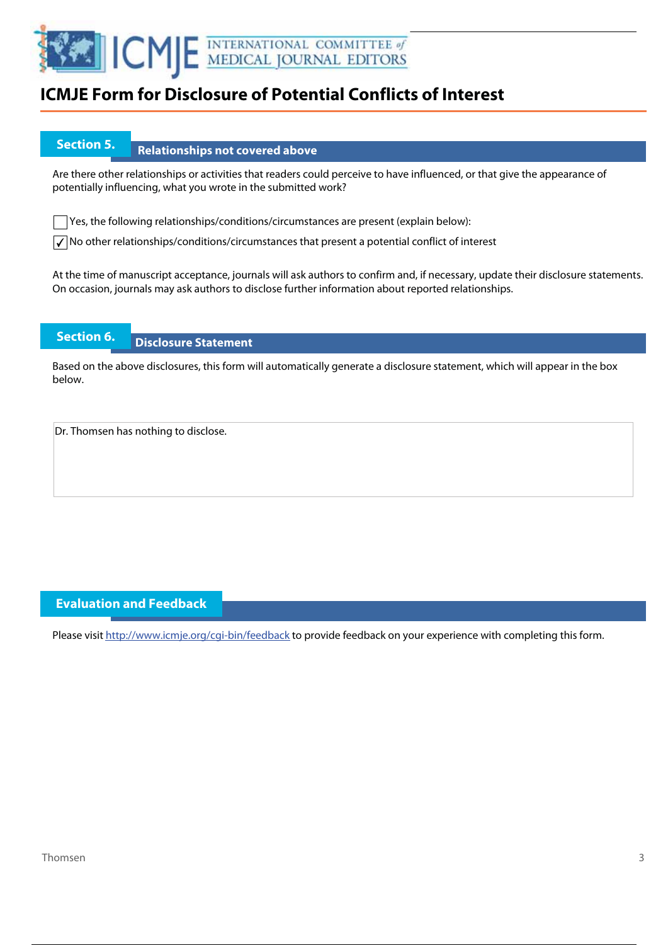

# **Section 5.** Relationships not covered above

Are there other relationships or activities that readers could perceive to have influenced, or that give the appearance of potentially influencing, what you wrote in the submitted work?

Yes, the following relationships/conditions/circumstances are present (explain below):

 $\sqrt{\sqrt{}}$  No other relationships/conditions/circumstances that present a potential conflict of interest

At the time of manuscript acceptance, journals will ask authors to confirm and, if necessary, update their disclosure statements. On occasion, journals may ask authors to disclose further information about reported relationships.

## **Section 6. Disclosure Statement**

Based on the above disclosures, this form will automatically generate a disclosure statement, which will appear in the box below.

Dr. Thomsen has nothing to disclose.

## **Evaluation and Feedback**

Please visit http://www.icmje.org/cgi-bin/feedback to provide feedback on your experience with completing this form.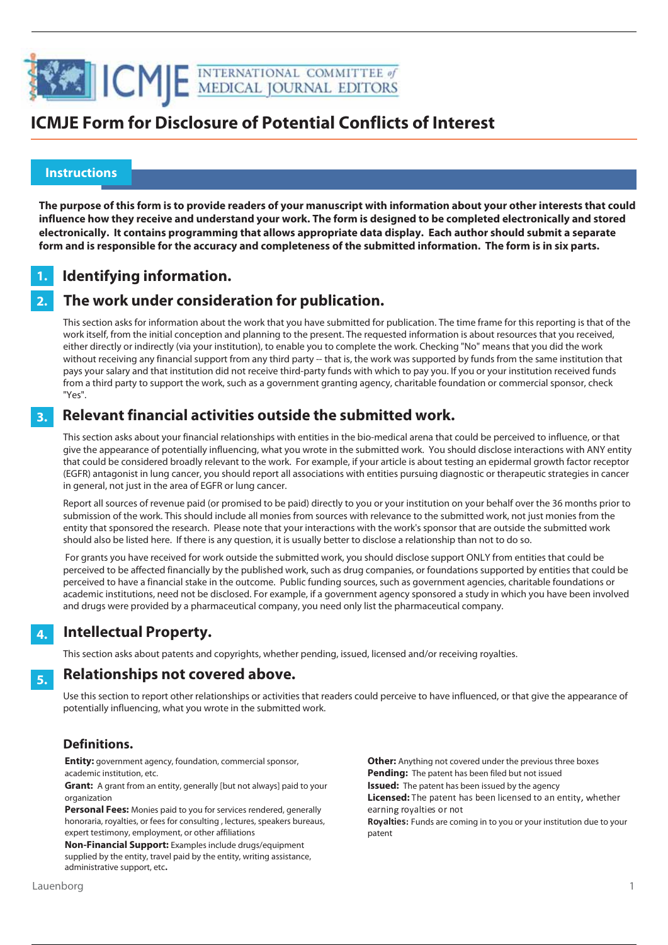

## **Instructions**

l

**The purpose of this form is to provide readers of your manuscript with information about your other interests that could influence how they receive and understand your work. The form is designed to be completed electronically and stored electronically. It contains programming that allows appropriate data display. Each author should submit a separate form and is responsible for the accuracy and completeness of the submitted information. The form is in six parts.** 

#### **Identifying information. 1.**

### **The work under consideration for publication. 2.**

This section asks for information about the work that you have submitted for publication. The time frame for this reporting is that of the work itself, from the initial conception and planning to the present. The requested information is about resources that you received, either directly or indirectly (via your institution), to enable you to complete the work. Checking "No" means that you did the work without receiving any financial support from any third party -- that is, the work was supported by funds from the same institution that pays your salary and that institution did not receive third-party funds with which to pay you. If you or your institution received funds from a third party to support the work, such as a government granting agency, charitable foundation or commercial sponsor, check "Yes".

### **Relevant financial activities outside the submitted work. 3.**

This section asks about your financial relationships with entities in the bio-medical arena that could be perceived to influence, or that give the appearance of potentially influencing, what you wrote in the submitted work. You should disclose interactions with ANY entity that could be considered broadly relevant to the work. For example, if your article is about testing an epidermal growth factor receptor (EGFR) antagonist in lung cancer, you should report all associations with entities pursuing diagnostic or therapeutic strategies in cancer in general, not just in the area of EGFR or lung cancer.

Report all sources of revenue paid (or promised to be paid) directly to you or your institution on your behalf over the 36 months prior to submission of the work. This should include all monies from sources with relevance to the submitted work, not just monies from the entity that sponsored the research. Please note that your interactions with the work's sponsor that are outside the submitted work should also be listed here. If there is any question, it is usually better to disclose a relationship than not to do so.

 For grants you have received for work outside the submitted work, you should disclose support ONLY from entities that could be perceived to be affected financially by the published work, such as drug companies, or foundations supported by entities that could be perceived to have a financial stake in the outcome. Public funding sources, such as government agencies, charitable foundations or academic institutions, need not be disclosed. For example, if a government agency sponsored a study in which you have been involved and drugs were provided by a pharmaceutical company, you need only list the pharmaceutical company.

#### **Intellectual Property. 4.**

This section asks about patents and copyrights, whether pending, issued, licensed and/or receiving royalties.

## **Relationships not covered above.**

Use this section to report other relationships or activities that readers could perceive to have influenced, or that give the appearance of potentially influencing, what you wrote in the submitted work.

## **Definitions.**

**Entity:** government agency, foundation, commercial sponsor, academic institution, etc.

**Grant:** A grant from an entity, generally [but not always] paid to your organization

**Personal Fees:** Monies paid to you for services rendered, generally honoraria, royalties, or fees for consulting , lectures, speakers bureaus, expert testimony, employment, or other affiliations

**Non-Financial Support:** Examples include drugs/equipment supplied by the entity, travel paid by the entity, writing assistance, administrative support, etc**.**

**Other:** Anything not covered under the previous three boxes **Pending:** The patent has been filed but not issued **Issued:** The patent has been issued by the agency **Licensed:** The patent has been licensed to an entity, whether the contract of the contract of the contract of the contract of the contract of the contract of the contract of **Royalties:** Funds are coming in to you or your institution due to your patent

**5.**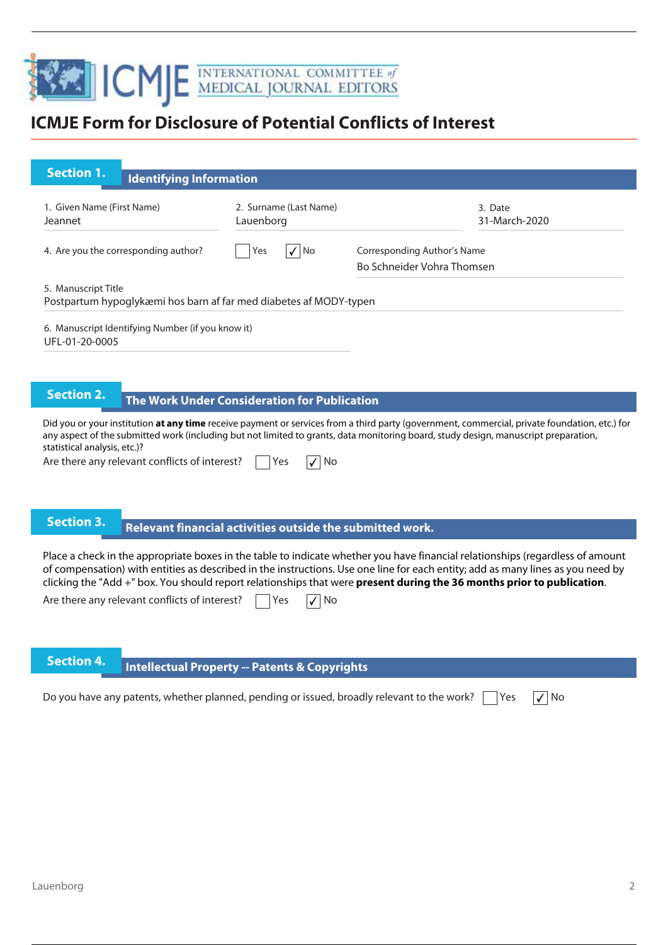

| <b>Section 1.</b>                                                                                                                                                                                                                                                                                                                                                                                                                                         | <b>Identifying Information</b>                    |                                                                   |                                                                                                                         |  |  |  |
|-----------------------------------------------------------------------------------------------------------------------------------------------------------------------------------------------------------------------------------------------------------------------------------------------------------------------------------------------------------------------------------------------------------------------------------------------------------|---------------------------------------------------|-------------------------------------------------------------------|-------------------------------------------------------------------------------------------------------------------------|--|--|--|
| 1. Given Name (First Name)<br>Jeannet                                                                                                                                                                                                                                                                                                                                                                                                                     |                                                   | 2. Surname (Last Name)<br>Lauenborg                               | 3. Date<br>31-March-2020                                                                                                |  |  |  |
|                                                                                                                                                                                                                                                                                                                                                                                                                                                           | 4. Are you the corresponding author?              | $\sqrt{ NQ}$<br>Yes                                               | Corresponding Author's Name<br>Bo Schneider Vohra Thomsen                                                               |  |  |  |
| 5. Manuscript Title                                                                                                                                                                                                                                                                                                                                                                                                                                       |                                                   | Postpartum hypoglykæmi hos barn af far med diabetes af MODY-typen |                                                                                                                         |  |  |  |
| UFL-01-20-0005                                                                                                                                                                                                                                                                                                                                                                                                                                            | 6. Manuscript Identifying Number (if you know it) |                                                                   |                                                                                                                         |  |  |  |
|                                                                                                                                                                                                                                                                                                                                                                                                                                                           |                                                   |                                                                   |                                                                                                                         |  |  |  |
| <b>Section 2.</b>                                                                                                                                                                                                                                                                                                                                                                                                                                         |                                                   | The Work Under Consideration for Publication                      |                                                                                                                         |  |  |  |
| Did you or your institution at any time receive payment or services from a third party (government, commercial, private foundation, etc.) for<br>any aspect of the submitted work (including but not limited to grants, data monitoring board, study design, manuscript preparation,<br>statistical analysis, etc.)?<br>Are there any relevant conflicts of interest?<br>No<br>Yes                                                                        |                                                   |                                                                   |                                                                                                                         |  |  |  |
|                                                                                                                                                                                                                                                                                                                                                                                                                                                           |                                                   |                                                                   |                                                                                                                         |  |  |  |
| <b>Section 3.</b>                                                                                                                                                                                                                                                                                                                                                                                                                                         |                                                   | Relevant financial activities outside the submitted work.         |                                                                                                                         |  |  |  |
| Place a check in the appropriate boxes in the table to indicate whether you have financial relationships (regardless of amount<br>of compensation) with entities as described in the instructions. Use one line for each entity; add as many lines as you need by<br>clicking the "Add +" box. You should report relationships that were present during the 36 months prior to publication.<br>Are there any relevant conflicts of interest?<br>No<br>Yes |                                                   |                                                                   |                                                                                                                         |  |  |  |
| <b>Section 4.</b>                                                                                                                                                                                                                                                                                                                                                                                                                                         |                                                   | <b>Intellectual Property -- Patents &amp; Copyrights</b>          |                                                                                                                         |  |  |  |
|                                                                                                                                                                                                                                                                                                                                                                                                                                                           |                                                   |                                                                   |                                                                                                                         |  |  |  |
|                                                                                                                                                                                                                                                                                                                                                                                                                                                           |                                                   |                                                                   | Do you have any patents, whether planned, pending or issued, broadly relevant to the work?<br>No<br>Yes<br>$\checkmark$ |  |  |  |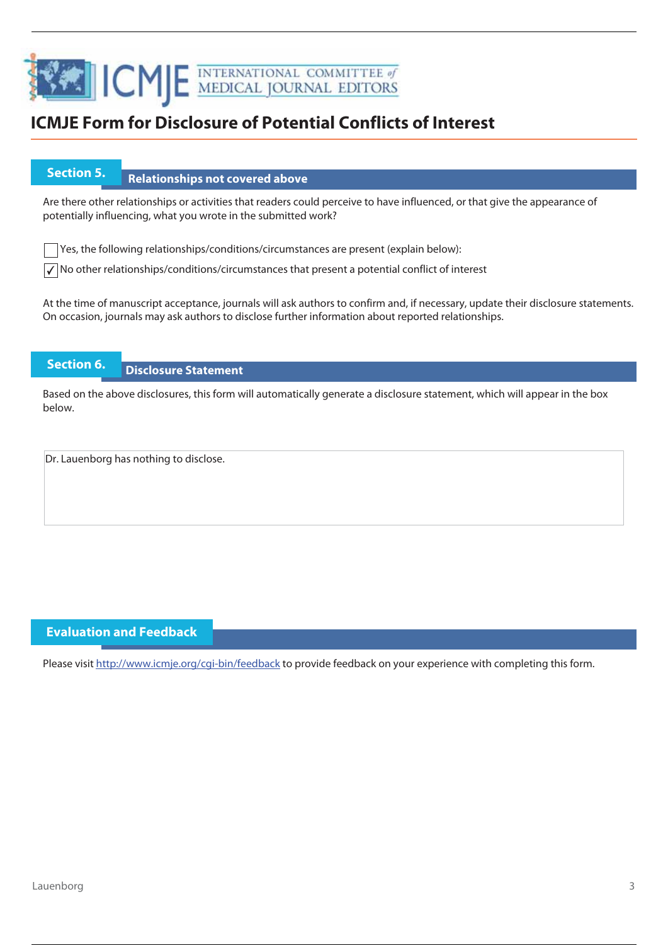

# **Section 5. Relationships not covered above**

Are there other relationships or activities that readers could perceive to have influenced, or that give the appearance of potentially influencing, what you wrote in the submitted work?

Yes, the following relationships/conditions/circumstances are present (explain below):

 $\sqrt{\frac{1}{\sqrt{\pi}}}$  No other relationships/conditions/circumstances that present a potential conflict of interest

At the time of manuscript acceptance, journals will ask authors to confirm and, if necessary, update their disclosure statements. On occasion, journals may ask authors to disclose further information about reported relationships.

# **Section 6. Disclosure Statement**

Based on the above disclosures, this form will automatically generate a disclosure statement, which will appear in the box below.

Dr. Lauenborg has nothing to disclose.

## **Evaluation and Feedback**

Please visit http://www.icmje.org/cgi-bin/feedback to provide feedback on your experience with completing this form.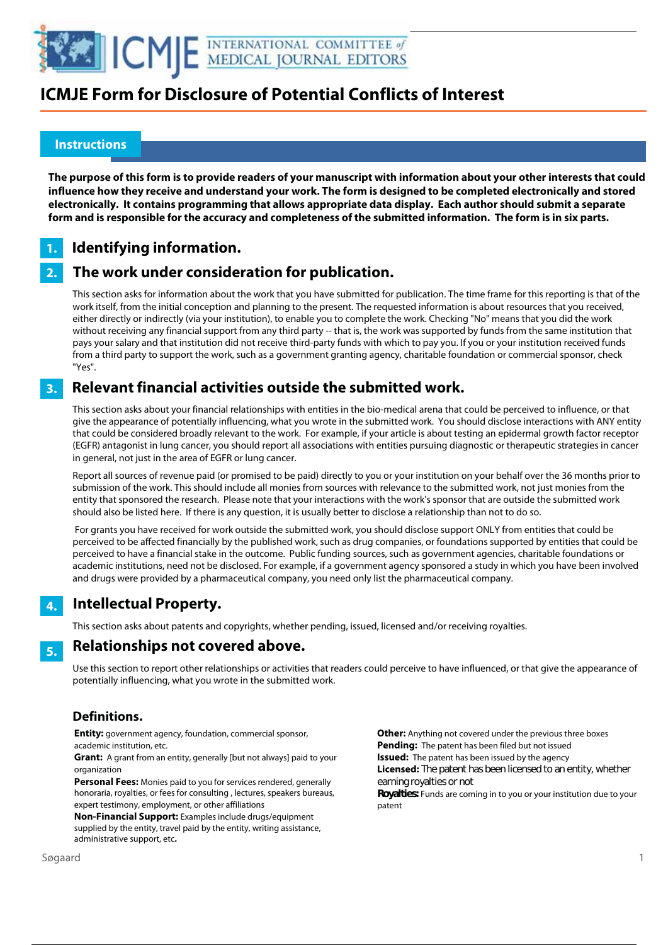

## **Instructions**

**The purpose of this form is to provide readers of your manuscript with information about your other interests that could influence how they receive and understand your work. The form is designed to be completed electronically and stored electronically. It contains programming that allows appropriate data display. Each author should submit a separate form and is responsible for the accuracy and completeness of the submitted information. The form is in six parts.** 

### **Identifying information. 1.**

### **The work under consideration for publication. 2.**

This section asks for information about the work that you have submitted for publication. The time frame for this reporting is that of the work itself, from the initial conception and planning to the present. The requested information is about resources that you received, either directly or indirectly (via your institution), to enable you to complete the work. Checking "No" means that you did the work without receiving any financial support from any third party -- that is, the work was supported by funds from the same institution that pays your salary and that institution did not receive third-party funds with which to pay you. If you or your institution received funds from a third party to support the work, such as a government granting agency, charitable foundation or commercial sponsor, check "Yes".

### **Relevant financial activities outside the submitted work. 3.**

This section asks about your financial relationships with entities in the bio-medical arena that could be perceived to influence, or that give the appearance of potentially influencing, what you wrote in the submitted work. You should disclose interactions with ANY entity that could be considered broadly relevant to the work. For example, if your article is about testing an epidermal growth factor receptor (EGFR) antagonist in lung cancer, you should report all associations with entities pursuing diagnostic or therapeutic strategies in cancer in general, not just in the area of EGFR or lung cancer.

Report all sources of revenue paid (or promised to be paid) directly to you or your institution on your behalf over the 36 months prior to submission of the work. This should include all monies from sources with relevance to the submitted work, not just monies from the entity that sponsored the research. Please note that your interactions with the work's sponsor that are outside the submitted work should also be listed here. If there is any question, it is usually better to disclose a relationship than not to do so.

 For grants you have received for work outside the submitted work, you should disclose support ONLY from entities that could be perceived to be affected financially by the published work, such as drug companies, or foundations supported by entities that could be perceived to have a financial stake in the outcome. Public funding sources, such as government agencies, charitable foundations or academic institutions, need not be disclosed. For example, if a government agency sponsored a study in which you have been involved and drugs were provided by a pharmaceutical company, you need only list the pharmaceutical company.

### **Intellectual Property. 4.**

This section asks about patents and copyrights, whether pending, issued, licensed and/or receiving royalties.

### **Relationships not covered above. 5.**

Use this section to report other relationships or activities that readers could perceive to have influenced, or that give the appearance of potentially influencing, what you wrote in the submitted work.

## **Definitions.**

**Entity:** government agency, foundation, commercial sponsor, academic institution, etc.

**Grant:** A grant from an entity, generally [but not always] paid to your organization

**Personal Fees:** Monies paid to you for services rendered, generally honoraria, royalties, or fees for consulting , lectures, speakers bureaus, expert testimony, employment, or other affiliations

**Non-Financial Support:** Examples include drugs/equipment supplied by the entity, travel paid by the entity, writing assistance, administrative support, etc**.**

**Other:** Anything not covered under the previous three boxes **Pending:** The patent has been filed but not issued **Issued:** The patent has been issued by the agency **Licensed:** The patent has been licensed to an entity, whether earning royalties or not **Royalties:** Funds are coming in to you or your institution due to your patent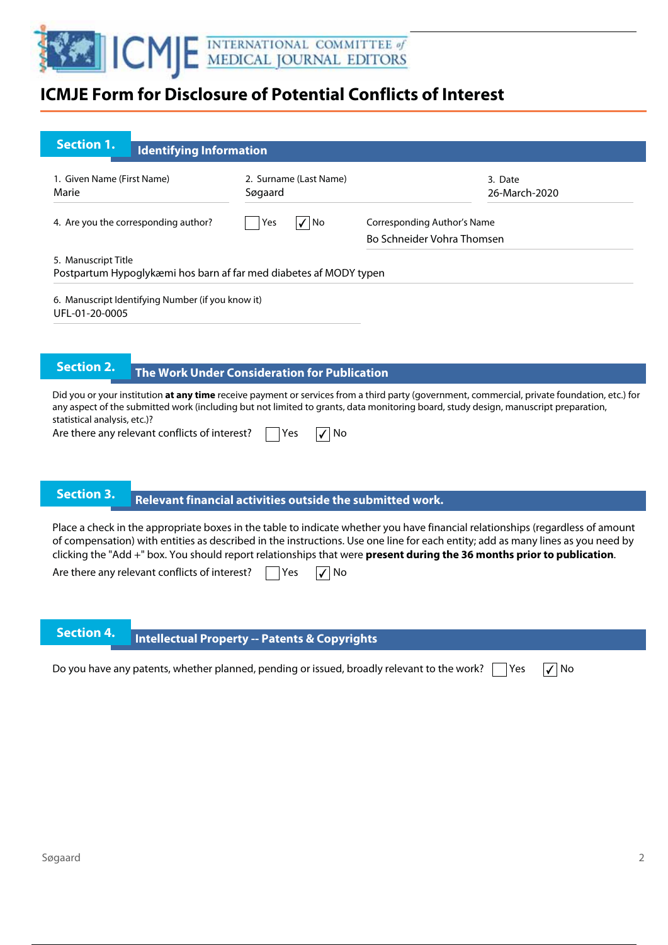

| <b>Section 1.</b><br><b>Identifying Information</b>                                                                                                                                                                                                                                                                                                                                |                                                           |                                                                                                                                                                                                                                                                                                                                                                                             |  |  |  |  |  |
|------------------------------------------------------------------------------------------------------------------------------------------------------------------------------------------------------------------------------------------------------------------------------------------------------------------------------------------------------------------------------------|-----------------------------------------------------------|---------------------------------------------------------------------------------------------------------------------------------------------------------------------------------------------------------------------------------------------------------------------------------------------------------------------------------------------------------------------------------------------|--|--|--|--|--|
| 1. Given Name (First Name)<br>Marie                                                                                                                                                                                                                                                                                                                                                | 2. Surname (Last Name)<br>Søgaard                         | 3. Date<br>26-March-2020                                                                                                                                                                                                                                                                                                                                                                    |  |  |  |  |  |
| 4. Are you the corresponding author?                                                                                                                                                                                                                                                                                                                                               | $\checkmark$<br> No<br>Yes                                | Corresponding Author's Name<br>Bo Schneider Vohra Thomsen                                                                                                                                                                                                                                                                                                                                   |  |  |  |  |  |
| 5. Manuscript Title<br>Postpartum Hypoglykæmi hos barn af far med diabetes af MODY typen                                                                                                                                                                                                                                                                                           |                                                           |                                                                                                                                                                                                                                                                                                                                                                                             |  |  |  |  |  |
| 6. Manuscript Identifying Number (if you know it)<br>UFL-01-20-0005                                                                                                                                                                                                                                                                                                                |                                                           |                                                                                                                                                                                                                                                                                                                                                                                             |  |  |  |  |  |
|                                                                                                                                                                                                                                                                                                                                                                                    |                                                           |                                                                                                                                                                                                                                                                                                                                                                                             |  |  |  |  |  |
| <b>Section 2.</b>                                                                                                                                                                                                                                                                                                                                                                  | <b>The Work Under Consideration for Publication</b>       |                                                                                                                                                                                                                                                                                                                                                                                             |  |  |  |  |  |
| Did you or your institution at any time receive payment or services from a third party (government, commercial, private foundation, etc.) for<br>any aspect of the submitted work (including but not limited to grants, data monitoring board, study design, manuscript preparation,<br>statistical analysis, etc.)?<br>Are there any relevant conflicts of interest?<br>No<br>Yes |                                                           |                                                                                                                                                                                                                                                                                                                                                                                             |  |  |  |  |  |
| <b>Section 3.</b>                                                                                                                                                                                                                                                                                                                                                                  |                                                           |                                                                                                                                                                                                                                                                                                                                                                                             |  |  |  |  |  |
|                                                                                                                                                                                                                                                                                                                                                                                    | Relevant financial activities outside the submitted work. |                                                                                                                                                                                                                                                                                                                                                                                             |  |  |  |  |  |
| Are there any relevant conflicts of interest?                                                                                                                                                                                                                                                                                                                                      | $\bar{\checkmark}$<br>No<br>Yes                           | Place a check in the appropriate boxes in the table to indicate whether you have financial relationships (regardless of amount<br>of compensation) with entities as described in the instructions. Use one line for each entity; add as many lines as you need by<br>clicking the "Add +" box. You should report relationships that were present during the 36 months prior to publication. |  |  |  |  |  |

# **Intellectual Property -- Patents & Copyrights**

| Do you have any patents, whether planned, pending or issued, broadly relevant to the work? $\Box$ Yes $\Box$ No |  |  |  |
|-----------------------------------------------------------------------------------------------------------------|--|--|--|
|-----------------------------------------------------------------------------------------------------------------|--|--|--|